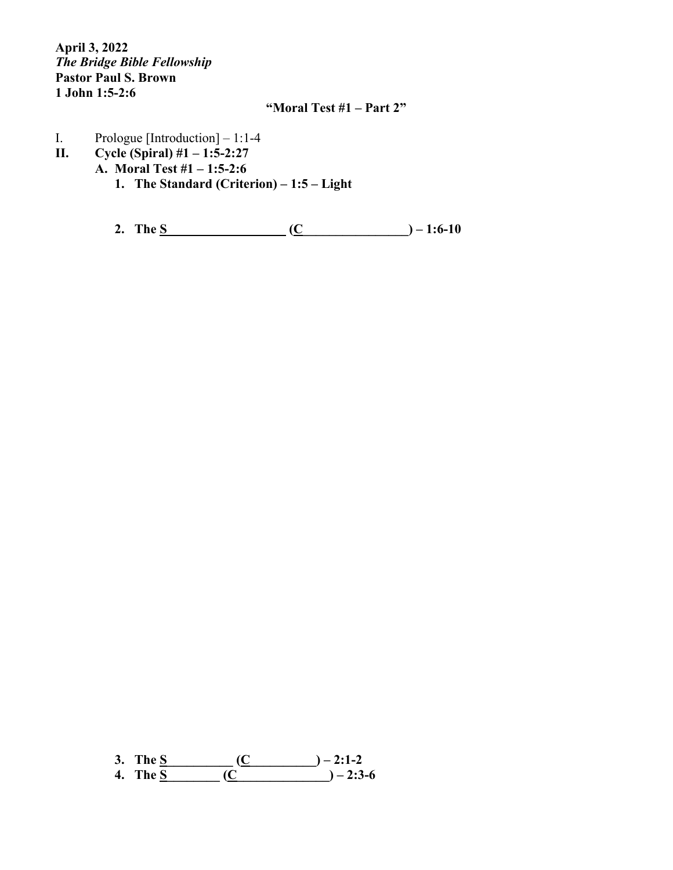**April 3, 2022** *The Bridge Bible Fellowship* **Pastor Paul S. Brown 1 John 1:5-2:6**

## **"Moral Test #1 – Part 2"**

- I. Prologue [Introduction] 1:1-4<br>II. Cycle (Spiral) #1 1:5-2:27
- **II. Cycle (Spiral) #1 – 1:5-2:27**
	- **A. Moral Test #1 – 1:5-2:6**
		- **1. The Standard (Criterion) – 1:5 – Light**

**2. The S\_\_\_\_\_\_\_\_\_\_\_\_\_\_\_\_\_\_ (C\_\_\_\_\_\_\_\_\_\_\_\_\_\_\_\_) – 1:6-10**

**3. The S\_\_\_\_\_\_\_\_\_\_ (C\_\_\_\_\_\_\_\_\_\_) – 2:1-2 4. The S\_\_\_\_\_\_\_\_ (C\_\_\_\_\_\_\_\_\_\_\_\_\_\_) – 2:3-6**